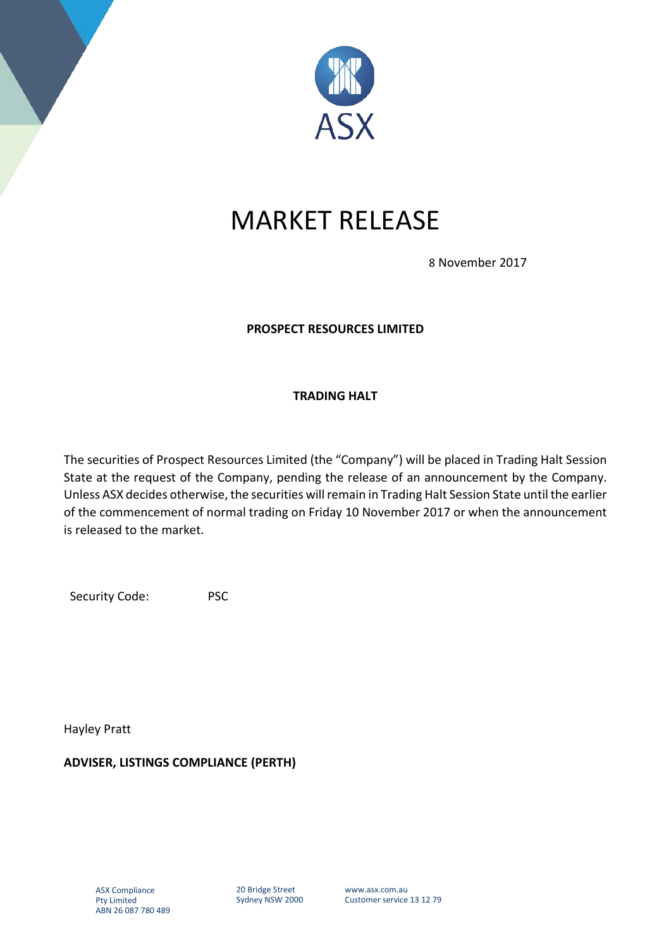

## MARKET RELEASE

8 November 2017

## **PROSPECT RESOURCES LIMITED**

## **TRADING HALT**

The securities of Prospect Resources Limited (the "Company") will be placed in Trading Halt Session State at the request of the Company, pending the release of an announcement by the Company. Unless ASX decides otherwise, the securities will remain in Trading Halt Session State until the earlier of the commencement of normal trading on Friday 10 November 2017 or when the announcement is released to the market.

Security Code: PSC

Hayley Pratt

**ADVISER, LISTINGS COMPLIANCE (PERTH)**